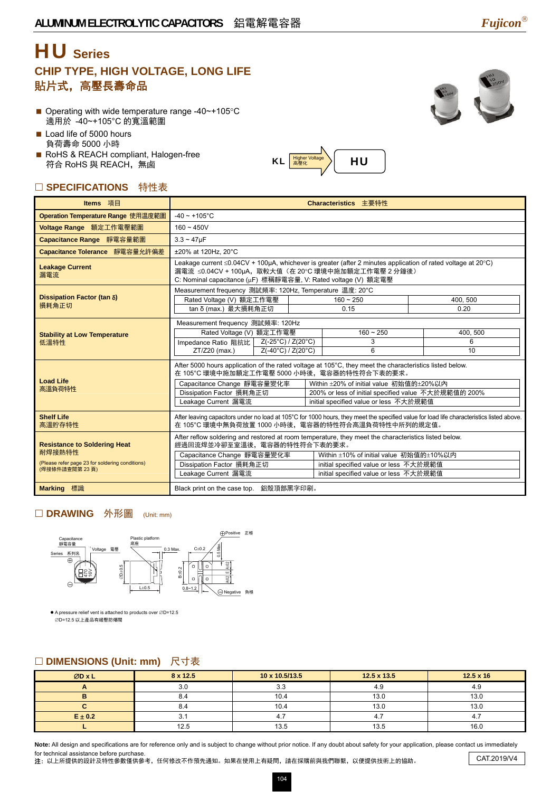## HU **Series CHIP TYPE, HIGH VOLTAGE, LONG LIFE**  貼片式,高壓長壽命品

- Operating with wide temperature range  $-40$   $\sim$  +105 °C 適用於 -40~+105°C 的寬溫範圍
- Load life of 5000 hours 負荷壽命 5000 小時

RoHS & REACH compliant, Halogen-free 符合 RoHS 與 REACH,無鹵

### □ SPECIFICATIONS 特性表

| Operation Temperature Range 使用温度範圍          | $-40 \sim +105$ °C                                                                                                                                                                                                                                                                                                  |  |  |                       |                     |  |  |  |
|---------------------------------------------|---------------------------------------------------------------------------------------------------------------------------------------------------------------------------------------------------------------------------------------------------------------------------------------------------------------------|--|--|-----------------------|---------------------|--|--|--|
| Voltage Range 額定工作電壓範圍                      | $160 - 450V$                                                                                                                                                                                                                                                                                                        |  |  |                       |                     |  |  |  |
| Capacitance Range 靜電容量範圍                    | $3.3 - 47 \mu F$                                                                                                                                                                                                                                                                                                    |  |  |                       |                     |  |  |  |
| Capacitance Tolerance 靜電容量允許偏差              | ±20% at 120Hz, 20°C                                                                                                                                                                                                                                                                                                 |  |  |                       |                     |  |  |  |
| <b>Leakage Current</b><br>漏電流               | Leakage current ≤0.04CV + 100µA, whichever is greater (after 2 minutes application of rated voltage at 20°C)<br>漏電流 ≤0.04CV + 100µA,取較大值(在 20℃ 環境中施加額定工作電壓 2 分鐘後)<br>C: Nominal capacitance (µF) 標稱靜電容量, V: Rated voltage (V) 額定電壓                                                                                  |  |  |                       |                     |  |  |  |
| Dissipation Factor (tan δ)<br>損耗角正切         | Measurement frequency 測試頻率: 120Hz, Temperature 温度: 20°C<br>Rated Voltage (V) 額定工作電壓<br>tan δ (max.) 最大損耗角正切                                                                                                                                                                                                         |  |  | $160 - 250$<br>0.15   | 400, 500<br>0.20    |  |  |  |
| <b>Stability at Low Temperature</b><br>低溫特性 | Measurement frequency 測試頻率: 120Hz<br>Rated Voltage (V) 額定工作電壓<br>$Z(-25^{\circ}C)/Z(20^{\circ}C)$<br>Impedance Ratio 阻抗比  <br>$ZT/Z20$ (max.)<br>$Z(-40^{\circ}C)/Z(20^{\circ}C)$                                                                                                                                   |  |  | $160 - 250$<br>3<br>6 | 400, 500<br>6<br>10 |  |  |  |
| <b>Load Life</b><br>高溫負荷特性                  | After 5000 hours application of the rated voltage at 105°C, they meet the characteristics listed below.<br>在 105°C 環境中施加額定工作電壓 5000 小時後,電容器的特性符合下表的要求。<br>Capacitance Change 靜電容量變化率<br>Within ±20% of initial value 初始值的±20%以內<br>Dissipation Factor 損耗角正切<br>200% or less of initial specified value 不大於規範值的 200% |  |  |                       |                     |  |  |  |

 $|\mathsf{KL}|$   $\frac{|\mathsf{Higher \: Vol} \mathsf{tage}|}{|\mathsf{B}}\rangle$   $|\mathsf{HU}|$ 

**Items** 項目 **Characteristics** 主要特性

| <b>Load Life</b><br>高溫負荷特性                                                                                        | Capacitance Change 靜電容量變化率<br>Dissipation Factor 損耗角正切<br>Leakage Current 漏電流                                                                                                                 | Within ±20% of initial value 初始值的±20%以内<br>200% or less of initial specified value 不大於規範值的 200%<br>initial specified value or less 不大於規範值 |  |  |  |  |  |
|-------------------------------------------------------------------------------------------------------------------|-----------------------------------------------------------------------------------------------------------------------------------------------------------------------------------------------|-------------------------------------------------------------------------------------------------------------------------------------------|--|--|--|--|--|
| <b>Shelf Life</b><br>高溫貯存特性                                                                                       | After leaving capacitors under no load at 105°C for 1000 hours, they meet the specified value for load life characteristics listed above.<br>在 105°C 環境中無負荷放置 1000 小時後,電容器的特性符合高溫負荷特性中所列的規定值。 |                                                                                                                                           |  |  |  |  |  |
| <b>Resistance to Soldering Heat</b><br>耐焊接熱特性<br>(Please refer page 23 for soldering conditions)<br>(焊接條件請查閱第23頁) | After reflow soldering and restored at room temperature, they meet the characteristics listed below.<br>經過回流焊並冷卻至室溫後,電容器的特性符合下表的要求。                                                           |                                                                                                                                           |  |  |  |  |  |
|                                                                                                                   | Capacitance Change 靜電容量變化率                                                                                                                                                                    | Within ±10% of initial value 初始值的±10%以内                                                                                                   |  |  |  |  |  |
|                                                                                                                   | Dissipation Factor 損耗角正切<br>Leakage Current 漏電流                                                                                                                                               | initial specified value or less 不大於規範值<br>initial specified value or less 不大於規範值                                                          |  |  |  |  |  |
|                                                                                                                   |                                                                                                                                                                                               |                                                                                                                                           |  |  |  |  |  |
| <b>Marking</b> 標識                                                                                                 | Black print on the case top. 鋁殼頂部黑字印刷。                                                                                                                                                        |                                                                                                                                           |  |  |  |  |  |

#### □ DRAWING 外形圖 (Unit: mm)



● A pressure relief vent is attached to products over ØD=12.5 ∅D=12.5 以上產品有緩壓防爆閥

#### □ DIMENSIONS (Unit: mm) 尺寸表

| ØDxL        | 8 x 12.5 | 10 x 10.5/13.5 | $12.5 \times 13.5$ | $12.5 \times 16$ |  |
|-------------|----------|----------------|--------------------|------------------|--|
|             | 3.0      | 3.3            | 4.9                | 4.9              |  |
| 8.4         |          | 10.4<br>13.0   |                    | 13.0             |  |
|             | 8.4      | 10.4           | 13.0               | 13.0             |  |
| $E \pm 0.2$ | J.       |                | 4.                 |                  |  |
|             | 12.5     | 13.5           | 13.5               | 16.0             |  |

Note: All design and specifications are for reference only and is subject to change without prior notice. If any doubt about safety for your application, please contact us immediately for technical assistance before purchase.

nor technical assistance before purchase.<br>注: 以上所提供的設計及特性參數僅供參考, 任何修改不作預先通知。如果在使用上有疑問, 請在採購前與我們聯繫, 以便提供技術上的協助。 CAT.2019/V4

104